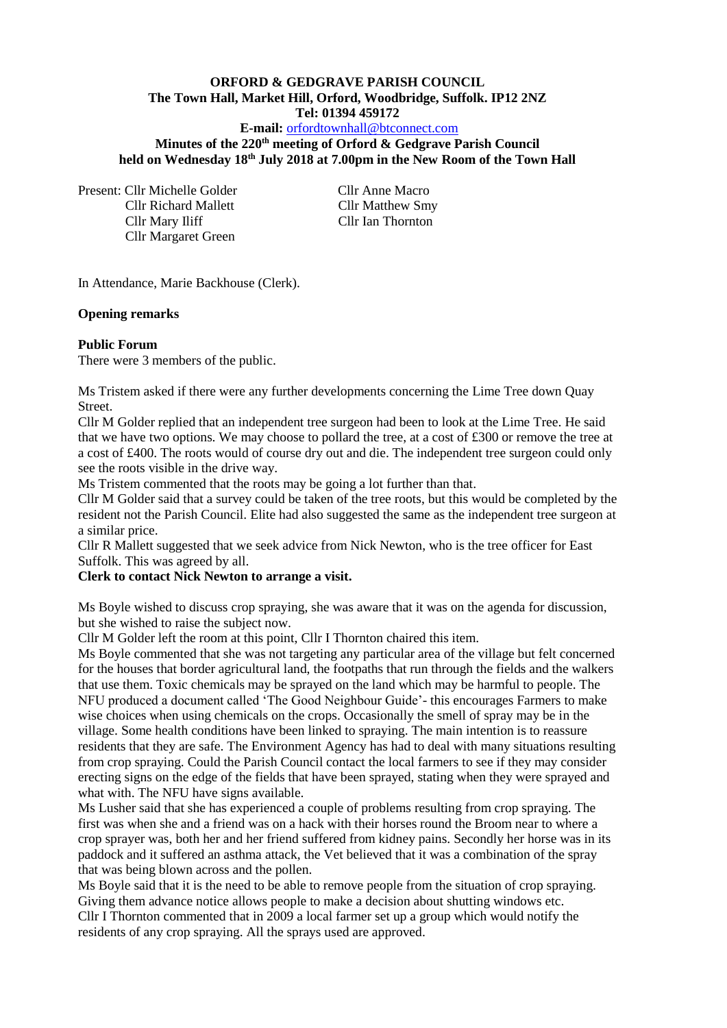# **ORFORD & GEDGRAVE PARISH COUNCIL The Town Hall, Market Hill, Orford, Woodbridge, Suffolk. IP12 2NZ Tel: 01394 459172**

### **E-mail:** [orfordtownhall@btconnect.com](mailto:orfordtownhall@btconnect.com)

**Minutes of the 220th meeting of Orford & Gedgrave Parish Council held on Wednesday 18th July 2018 at 7.00pm in the New Room of the Town Hall**

Present: Cllr Michelle Golder Cllr Anne Macro Cllr Richard Mallett Cllr Matthew Smy Cllr Mary Iliff Cllr Ian Thornton Cllr Margaret Green

In Attendance, Marie Backhouse (Clerk).

#### **Opening remarks**

#### **Public Forum**

There were 3 members of the public.

Ms Tristem asked if there were any further developments concerning the Lime Tree down Quay Street.

Cllr M Golder replied that an independent tree surgeon had been to look at the Lime Tree. He said that we have two options. We may choose to pollard the tree, at a cost of £300 or remove the tree at a cost of £400. The roots would of course dry out and die. The independent tree surgeon could only see the roots visible in the drive way.

Ms Tristem commented that the roots may be going a lot further than that.

Cllr M Golder said that a survey could be taken of the tree roots, but this would be completed by the resident not the Parish Council. Elite had also suggested the same as the independent tree surgeon at a similar price.

Cllr R Mallett suggested that we seek advice from Nick Newton, who is the tree officer for East Suffolk. This was agreed by all.

#### **Clerk to contact Nick Newton to arrange a visit.**

Ms Boyle wished to discuss crop spraying, she was aware that it was on the agenda for discussion, but she wished to raise the subject now.

Cllr M Golder left the room at this point, Cllr I Thornton chaired this item.

Ms Boyle commented that she was not targeting any particular area of the village but felt concerned for the houses that border agricultural land, the footpaths that run through the fields and the walkers that use them. Toxic chemicals may be sprayed on the land which may be harmful to people. The NFU produced a document called 'The Good Neighbour Guide'- this encourages Farmers to make wise choices when using chemicals on the crops. Occasionally the smell of spray may be in the village. Some health conditions have been linked to spraying. The main intention is to reassure residents that they are safe. The Environment Agency has had to deal with many situations resulting from crop spraying. Could the Parish Council contact the local farmers to see if they may consider erecting signs on the edge of the fields that have been sprayed, stating when they were sprayed and what with. The NFU have signs available.

Ms Lusher said that she has experienced a couple of problems resulting from crop spraying. The first was when she and a friend was on a hack with their horses round the Broom near to where a crop sprayer was, both her and her friend suffered from kidney pains. Secondly her horse was in its paddock and it suffered an asthma attack, the Vet believed that it was a combination of the spray that was being blown across and the pollen.

Ms Boyle said that it is the need to be able to remove people from the situation of crop spraying. Giving them advance notice allows people to make a decision about shutting windows etc. Cllr I Thornton commented that in  $2009$  a local farmer set up a group which would notify the residents of any crop spraying. All the sprays used are approved.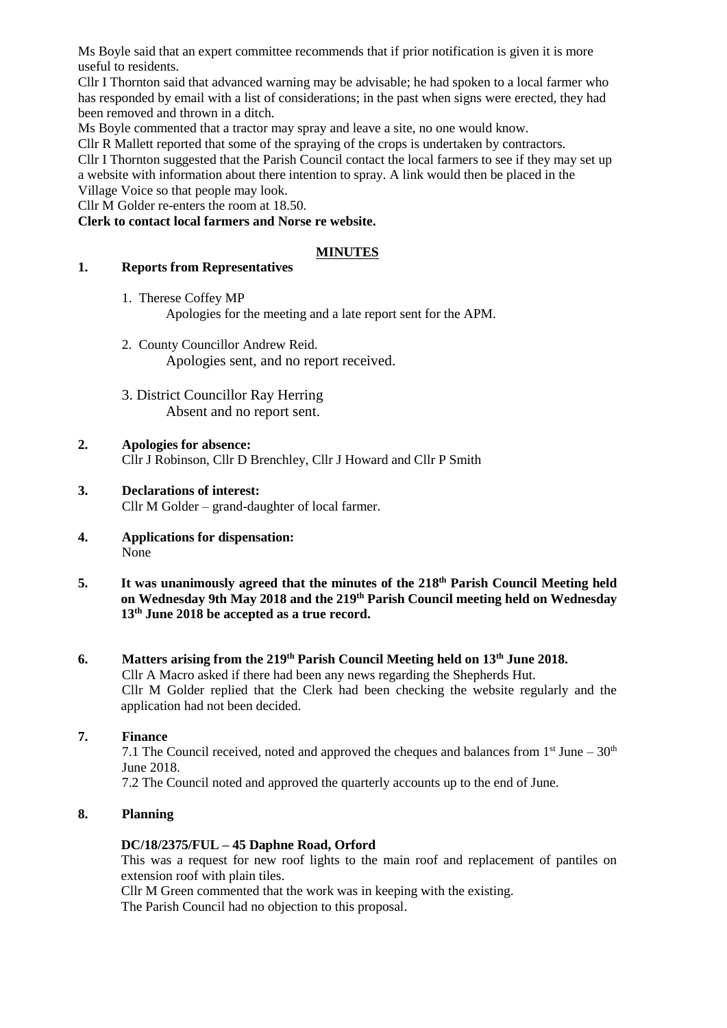Ms Boyle said that an expert committee recommends that if prior notification is given it is more useful to residents.

Cllr I Thornton said that advanced warning may be advisable; he had spoken to a local farmer who has responded by email with a list of considerations; in the past when signs were erected, they had been removed and thrown in a ditch.

Ms Boyle commented that a tractor may spray and leave a site, no one would know.

Cllr R Mallett reported that some of the spraying of the crops is undertaken by contractors. Cllr I Thornton suggested that the Parish Council contact the local farmers to see if they may set up a website with information about there intention to spray. A link would then be placed in the Village Voice so that people may look.

Cllr M Golder re-enters the room at 18.50.

**Clerk to contact local farmers and Norse re website.**

## **MINUTES**

## **1. Reports from Representatives**

1. Therese Coffey MP

Apologies for the meeting and a late report sent for the APM.

- 2. County Councillor Andrew Reid. Apologies sent, and no report received.
- 3. District Councillor Ray Herring Absent and no report sent.
- **2. Apologies for absence:** Cllr J Robinson, Cllr D Brenchley, Cllr J Howard and Cllr P Smith
- **3. Declarations of interest:** Cllr M Golder – grand-daughter of local farmer.
- **4. Applications for dispensation:** None
- 5. It was unanimously agreed that the minutes of the 218<sup>th</sup> Parish Council Meeting held **on Wednesday 9th May 2018 and the 219th Parish Council meeting held on Wednesday 13th June 2018 be accepted as a true record.**

# **6. Matters arising from the 219 th Parish Council Meeting held on 13th June 2018.**

Cllr A Macro asked if there had been any news regarding the Shepherds Hut. Cllr M Golder replied that the Clerk had been checking the website regularly and the application had not been decided.

# **7. Finance**

7.1 The Council received, noted and approved the cheques and balances from  $1<sup>st</sup>$  June –  $30<sup>th</sup>$ June 2018.

7.2 The Council noted and approved the quarterly accounts up to the end of June.

# **8. Planning**

# **DC/18/2375/FUL – 45 Daphne Road, Orford**

This was a request for new roof lights to the main roof and replacement of pantiles on extension roof with plain tiles.

Cllr M Green commented that the work was in keeping with the existing. The Parish Council had no objection to this proposal.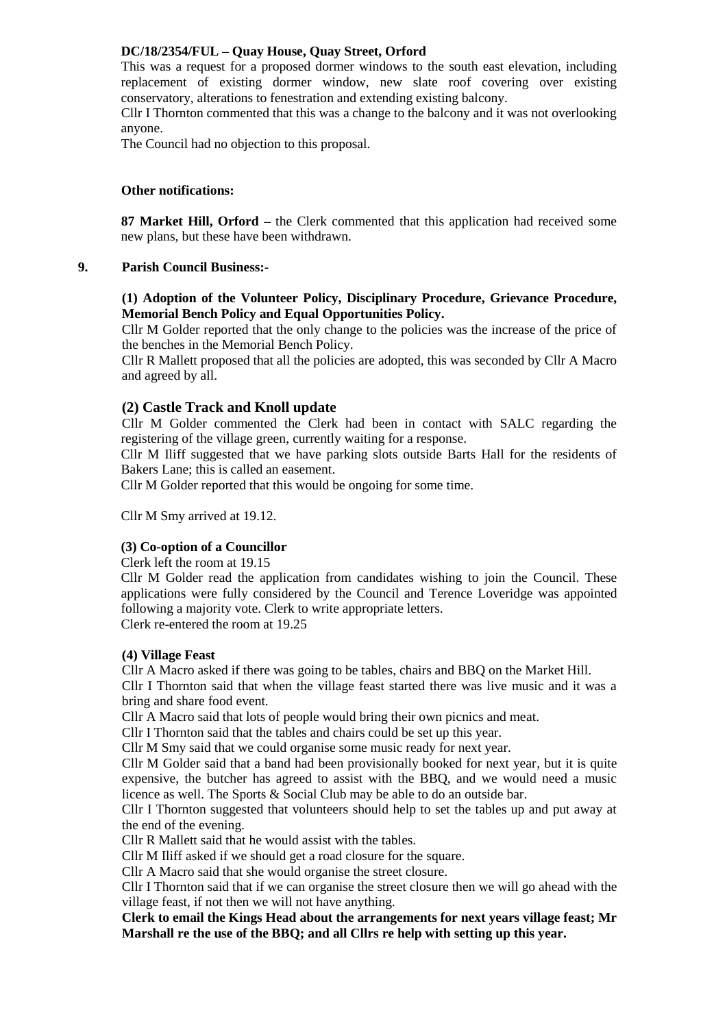## **DC/18/2354/FUL – Quay House, Quay Street, Orford**

This was a request for a proposed dormer windows to the south east elevation, including replacement of existing dormer window, new slate roof covering over existing conservatory, alterations to fenestration and extending existing balcony.

Cllr I Thornton commented that this was a change to the balcony and it was not overlooking anyone.

The Council had no objection to this proposal.

### **Other notifications:**

**87 Market Hill, Orford –** the Clerk commented that this application had received some new plans, but these have been withdrawn.

#### **9. Parish Council Business:-**

### **(1) Adoption of the Volunteer Policy, Disciplinary Procedure, Grievance Procedure, Memorial Bench Policy and Equal Opportunities Policy.**

Cllr M Golder reported that the only change to the policies was the increase of the price of the benches in the Memorial Bench Policy.

Cllr R Mallett proposed that all the policies are adopted, this was seconded by Cllr A Macro and agreed by all.

### **(2) Castle Track and Knoll update**

Cllr M Golder commented the Clerk had been in contact with SALC regarding the registering of the village green, currently waiting for a response.

Cllr M Iliff suggested that we have parking slots outside Barts Hall for the residents of Bakers Lane; this is called an easement.

Cllr M Golder reported that this would be ongoing for some time.

Cllr M Smy arrived at 19.12.

### **(3) Co-option of a Councillor**

Clerk left the room at 19.15

Cllr M Golder read the application from candidates wishing to join the Council. These applications were fully considered by the Council and Terence Loveridge was appointed following a majority vote. Clerk to write appropriate letters. Clerk re-entered the room at 19.25

#### **(4) Village Feast**

Cllr A Macro asked if there was going to be tables, chairs and BBQ on the Market Hill.

Cllr I Thornton said that when the village feast started there was live music and it was a bring and share food event.

Cllr A Macro said that lots of people would bring their own picnics and meat.

Cllr I Thornton said that the tables and chairs could be set up this year.

Cllr M Smy said that we could organise some music ready for next year.

Cllr M Golder said that a band had been provisionally booked for next year, but it is quite expensive, the butcher has agreed to assist with the BBQ, and we would need a music licence as well. The Sports & Social Club may be able to do an outside bar.

Cllr I Thornton suggested that volunteers should help to set the tables up and put away at the end of the evening.

Cllr R Mallett said that he would assist with the tables.

Cllr M Iliff asked if we should get a road closure for the square.

Cllr A Macro said that she would organise the street closure.

Cllr I Thornton said that if we can organise the street closure then we will go ahead with the village feast, if not then we will not have anything.

**Clerk to email the Kings Head about the arrangements for next years village feast; Mr Marshall re the use of the BBQ; and all Cllrs re help with setting up this year.**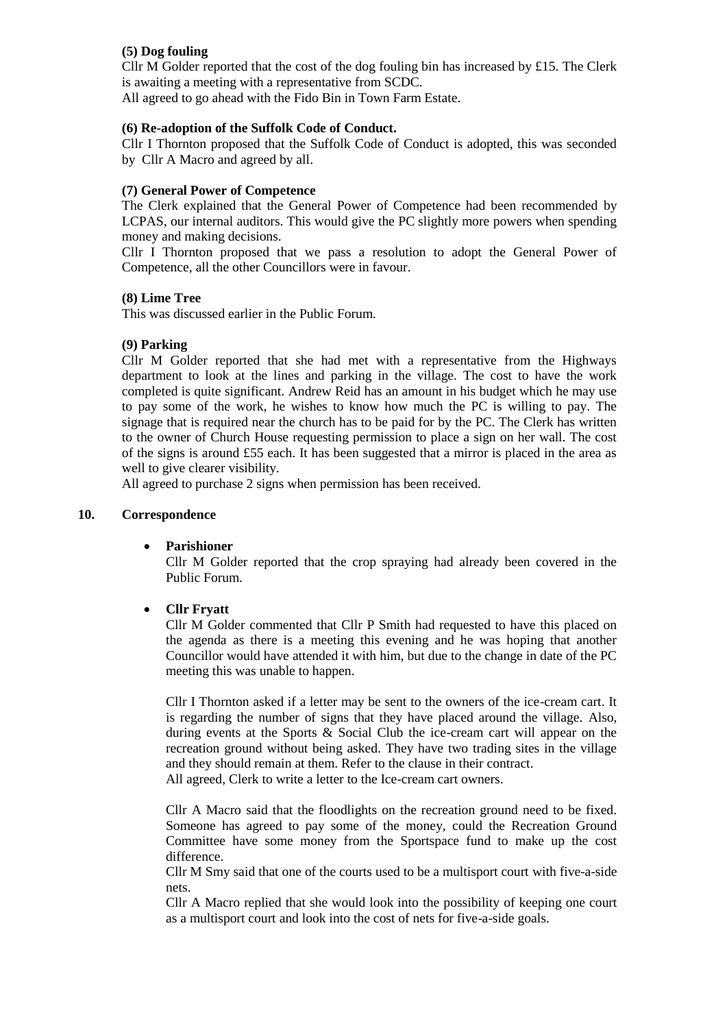# **(5) Dog fouling**

Cllr M Golder reported that the cost of the dog fouling bin has increased by £15. The Clerk is awaiting a meeting with a representative from SCDC.

All agreed to go ahead with the Fido Bin in Town Farm Estate.

### **(6) Re-adoption of the Suffolk Code of Conduct.**

Cllr I Thornton proposed that the Suffolk Code of Conduct is adopted, this was seconded by Cllr A Macro and agreed by all.

### **(7) General Power of Competence**

The Clerk explained that the General Power of Competence had been recommended by LCPAS, our internal auditors. This would give the PC slightly more powers when spending money and making decisions.

Cllr I Thornton proposed that we pass a resolution to adopt the General Power of Competence, all the other Councillors were in favour.

### **(8) Lime Tree**

This was discussed earlier in the Public Forum.

### **(9) Parking**

Cllr M Golder reported that she had met with a representative from the Highways department to look at the lines and parking in the village. The cost to have the work completed is quite significant. Andrew Reid has an amount in his budget which he may use to pay some of the work, he wishes to know how much the PC is willing to pay. The signage that is required near the church has to be paid for by the PC. The Clerk has written to the owner of Church House requesting permission to place a sign on her wall. The cost of the signs is around £55 each. It has been suggested that a mirror is placed in the area as well to give clearer visibility.

All agreed to purchase 2 signs when permission has been received.

### **10. Correspondence**

### • **Parishioner**

Cllr M Golder reported that the crop spraying had already been covered in the Public Forum.

# • **Cllr Fryatt**

Cllr M Golder commented that Cllr P Smith had requested to have this placed on the agenda as there is a meeting this evening and he was hoping that another Councillor would have attended it with him, but due to the change in date of the PC meeting this was unable to happen.

Cllr I Thornton asked if a letter may be sent to the owners of the ice-cream cart. It is regarding the number of signs that they have placed around the village. Also, during events at the Sports & Social Club the ice-cream cart will appear on the recreation ground without being asked. They have two trading sites in the village and they should remain at them. Refer to the clause in their contract.

All agreed, Clerk to write a letter to the Ice-cream cart owners.

Cllr A Macro said that the floodlights on the recreation ground need to be fixed. Someone has agreed to pay some of the money, could the Recreation Ground Committee have some money from the Sportspace fund to make up the cost difference.

Cllr M Smy said that one of the courts used to be a multisport court with five-a-side nets.

Cllr A Macro replied that she would look into the possibility of keeping one court as a multisport court and look into the cost of nets for five-a-side goals.